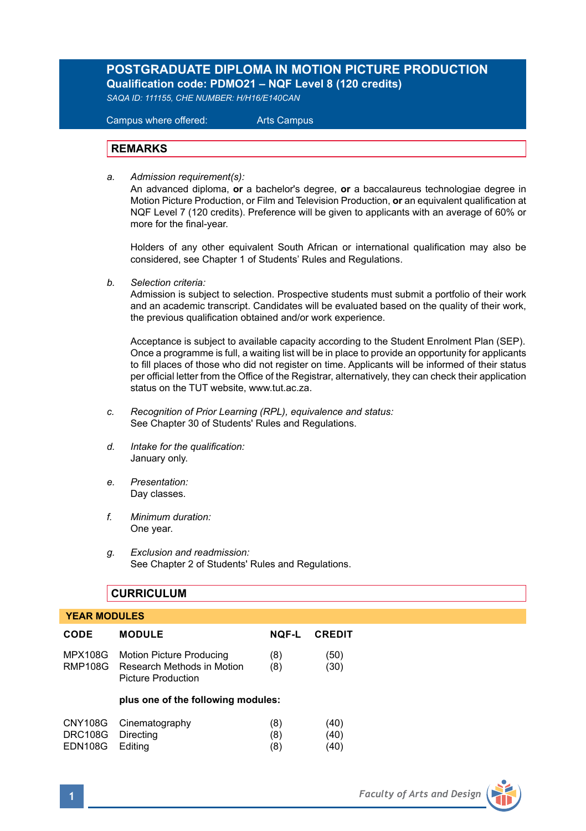# **POSTGRADUATE DIPLOMA IN MOTION PICTURE PRODUCTION Qualification code: PDMO21 – NQF Level 8 (120 credits)**

*SAQA ID: 111155, CHE NUMBER: H/H16/E140CAN* 

 Campus where offered: Arts Campus

### **REMARKS**

*a. Admission requirement(s):* 

An advanced diploma, **or** a bachelor's degree, **or** a baccalaureus technologiae degree in Motion Picture Production, or Film and Television Production, **or** an equivalent qualification at NQF Level 7 (120 credits). Preference will be given to applicants with an average of 60% or more for the final-year.

Holders of any other equivalent South African or international qualification may also be considered, see Chapter 1 of Students' Rules and Regulations.

*b. Selection criteria:*

Admission is subject to selection. Prospective students must submit a portfolio of their work and an academic transcript. Candidates will be evaluated based on the quality of their work, the previous qualification obtained and/or work experience.

 Acceptance is subject to available capacity according to the Student Enrolment Plan (SEP). Once a programme is full, a waiting list will be in place to provide an opportunity for applicants to fill places of those who did not register on time. Applicants will be informed of their status per official letter from the Office of the Registrar, alternatively, they can check their application status on the TUT website, www.tut.ac.za.

- *c. Recognition of Prior Learning (RPL), equivalence and status:* See Chapter 30 of Students' Rules and Regulations.
- *d. Intake for the qualification:* January only.
- *e. Presentation:* Day classes.
- *f. Minimum duration:* One year.
- *g. Exclusion and readmission:* See Chapter 2 of Students' Rules and Regulations.

### **CURRICULUM**

# **YEAR MODULES CODE MODULE NQF-L CREDIT** MPX108G Motion Picture Producing (8) (50) RMP108G Research Methods in Motion (8) (30) Picture Production **plus one of the following modules:** CNY108G Cinematography (8) (40) DRC108G Directing (8) (40) EDN108G Editing (8) (40)